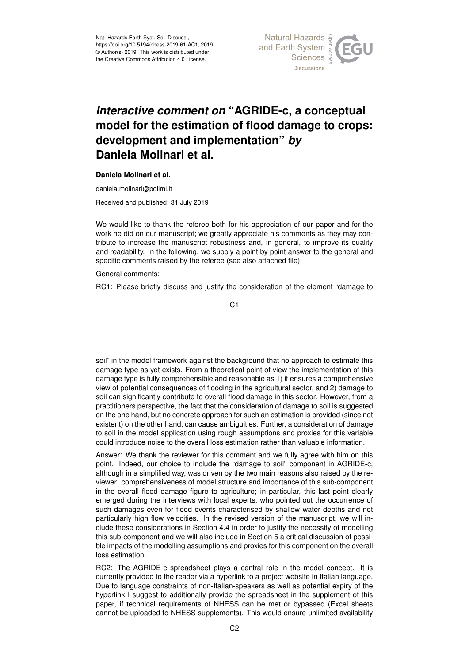

## *Interactive comment on* **"AGRIDE-c, a conceptual model for the estimation of flood damage to crops: development and implementation"** *by* **Daniela Molinari et al.**

## **Daniela Molinari et al.**

daniela.molinari@polimi.it

Received and published: 31 July 2019

We would like to thank the referee both for his appreciation of our paper and for the work he did on our manuscript; we greatly appreciate his comments as they may contribute to increase the manuscript robustness and, in general, to improve its quality and readability. In the following, we supply a point by point answer to the general and specific comments raised by the referee (see also attached file).

General comments:

RC1: Please briefly discuss and justify the consideration of the element "damage to

C1

soil" in the model framework against the background that no approach to estimate this damage type as yet exists. From a theoretical point of view the implementation of this damage type is fully comprehensible and reasonable as 1) it ensures a comprehensive view of potential consequences of flooding in the agricultural sector, and 2) damage to soil can significantly contribute to overall flood damage in this sector. However, from a practitioners perspective, the fact that the consideration of damage to soil is suggested on the one hand, but no concrete approach for such an estimation is provided (since not existent) on the other hand, can cause ambiguities. Further, a consideration of damage to soil in the model application using rough assumptions and proxies for this variable could introduce noise to the overall loss estimation rather than valuable information.

Answer: We thank the reviewer for this comment and we fully agree with him on this point. Indeed, our choice to include the "damage to soil" component in AGRIDE-c, although in a simplified way, was driven by the two main reasons also raised by the reviewer: comprehensiveness of model structure and importance of this sub-component in the overall flood damage figure to agriculture; in particular, this last point clearly emerged during the interviews with local experts, who pointed out the occurrence of such damages even for flood events characterised by shallow water depths and not particularly high flow velocities. In the revised version of the manuscript, we will include these considerations in Section 4.4 in order to justify the necessity of modelling this sub-component and we will also include in Section 5 a critical discussion of possible impacts of the modelling assumptions and proxies for this component on the overall loss estimation.

RC2: The AGRIDE-c spreadsheet plays a central role in the model concept. It is currently provided to the reader via a hyperlink to a project website in Italian language. Due to language constraints of non-Italian-speakers as well as potential expiry of the hyperlink I suggest to additionally provide the spreadsheet in the supplement of this paper, if technical requirements of NHESS can be met or bypassed (Excel sheets cannot be uploaded to NHESS supplements). This would ensure unlimited availability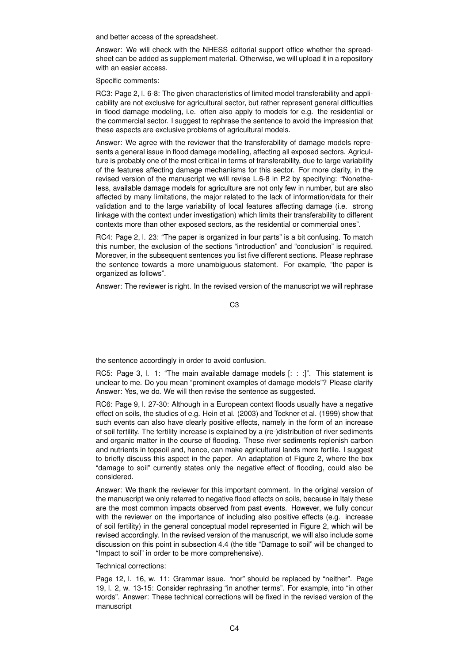and better access of the spreadsheet.

Answer: We will check with the NHESS editorial support office whether the spreadsheet can be added as supplement material. Otherwise, we will upload it in a repository with an easier access.

Specific comments:

RC3: Page 2, l. 6-8: The given characteristics of limited model transferability and applicability are not exclusive for agricultural sector, but rather represent general difficulties in flood damage modeling, i.e. often also apply to models for e.g. the residential or the commercial sector. I suggest to rephrase the sentence to avoid the impression that these aspects are exclusive problems of agricultural models.

Answer: We agree with the reviewer that the transferability of damage models represents a general issue in flood damage modelling, affecting all exposed sectors. Agriculture is probably one of the most critical in terms of transferability, due to large variability of the features affecting damage mechanisms for this sector. For more clarity, in the revised version of the manuscript we will revise L.6-8 in P.2 by specifying: "Nonetheless, available damage models for agriculture are not only few in number, but are also affected by many limitations, the major related to the lack of information/data for their validation and to the large variability of local features affecting damage (i.e. strong linkage with the context under investigation) which limits their transferability to different contexts more than other exposed sectors, as the residential or commercial ones".

RC4: Page 2, l. 23: "The paper is organized in four parts" is a bit confusing. To match this number, the exclusion of the sections "introduction" and "conclusion" is required. Moreover, in the subsequent sentences you list five different sections. Please rephrase the sentence towards a more unambiguous statement. For example, "the paper is organized as follows".

Answer: The reviewer is right. In the revised version of the manuscript we will rephrase

C3

the sentence accordingly in order to avoid confusion.

RC5: Page 3, l. 1: "The main available damage models [: : :]". This statement is unclear to me. Do you mean "prominent examples of damage models"? Please clarify Answer: Yes, we do. We will then revise the sentence as suggested.

RC6: Page 9, l. 27-30: Although in a European context floods usually have a negative effect on soils, the studies of e.g. Hein et al. (2003) and Tockner et al. (1999) show that such events can also have clearly positive effects, namely in the form of an increase of soil fertility. The fertility increase is explained by a (re-)distribution of river sediments and organic matter in the course of flooding. These river sediments replenish carbon and nutrients in topsoil and, hence, can make agricultural lands more fertile. I suggest to briefly discuss this aspect in the paper. An adaptation of Figure 2, where the box "damage to soil" currently states only the negative effect of flooding, could also be considered.

Answer: We thank the reviewer for this important comment. In the original version of the manuscript we only referred to negative flood effects on soils, because in Italy these are the most common impacts observed from past events. However, we fully concur with the reviewer on the importance of including also positive effects (e.g. increase of soil fertility) in the general conceptual model represented in Figure 2, which will be revised accordingly. In the revised version of the manuscript, we will also include some discussion on this point in subsection 4.4 (the title "Damage to soil" will be changed to "Impact to soil" in order to be more comprehensive).

Technical corrections:

Page 12, l. 16, w. 11: Grammar issue. "nor" should be replaced by "neither". Page 19, l. 2, w. 13-15: Consider rephrasing "in another terms". For example, into "in other words". Answer: These technical corrections will be fixed in the revised version of the manuscript